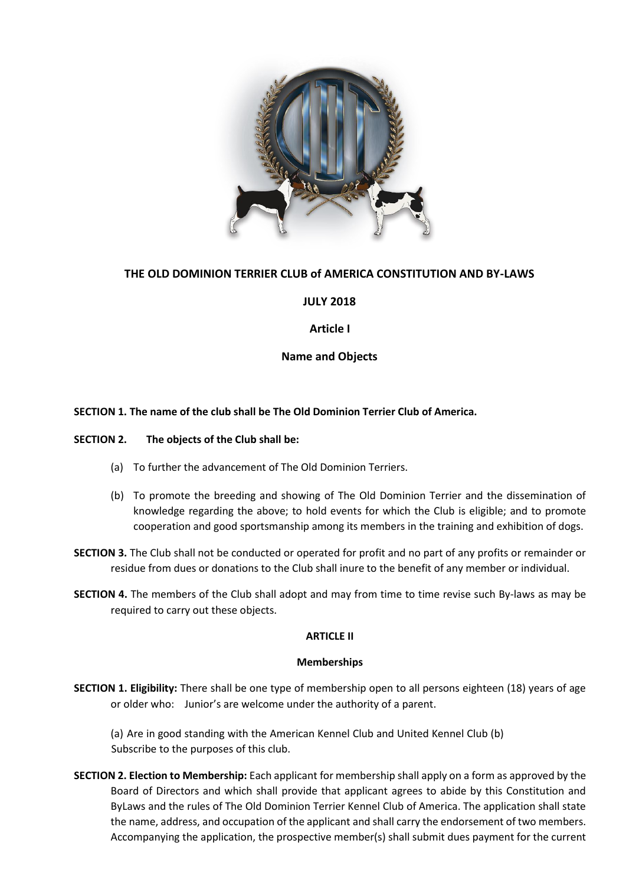

# **THE OLD DOMINION TERRIER CLUB of AMERICA CONSTITUTION AND BY-LAWS**

# **JULY 2018**

## **Article I**

# **Name and Objects**

## **SECTION 1. The name of the club shall be The Old Dominion Terrier Club of America.**

### **SECTION 2. The objects of the Club shall be:**

- (a) To further the advancement of The Old Dominion Terriers.
- (b) To promote the breeding and showing of The Old Dominion Terrier and the dissemination of knowledge regarding the above; to hold events for which the Club is eligible; and to promote cooperation and good sportsmanship among its members in the training and exhibition of dogs.
- **SECTION 3.** The Club shall not be conducted or operated for profit and no part of any profits or remainder or residue from dues or donations to the Club shall inure to the benefit of any member or individual.
- **SECTION 4.** The members of the Club shall adopt and may from time to time revise such By-laws as may be required to carry out these objects.

## **ARTICLE II**

## **Memberships**

**SECTION 1. Eligibility:** There shall be one type of membership open to all persons eighteen (18) years of age or older who: Junior's are welcome under the authority of a parent.

(a) Are in good standing with the American Kennel Club and United Kennel Club (b) Subscribe to the purposes of this club.

**SECTION 2. Election to Membership:** Each applicant for membership shall apply on a form as approved by the Board of Directors and which shall provide that applicant agrees to abide by this Constitution and ByLaws and the rules of The Old Dominion Terrier Kennel Club of America. The application shall state the name, address, and occupation of the applicant and shall carry the endorsement of two members. Accompanying the application, the prospective member(s) shall submit dues payment for the current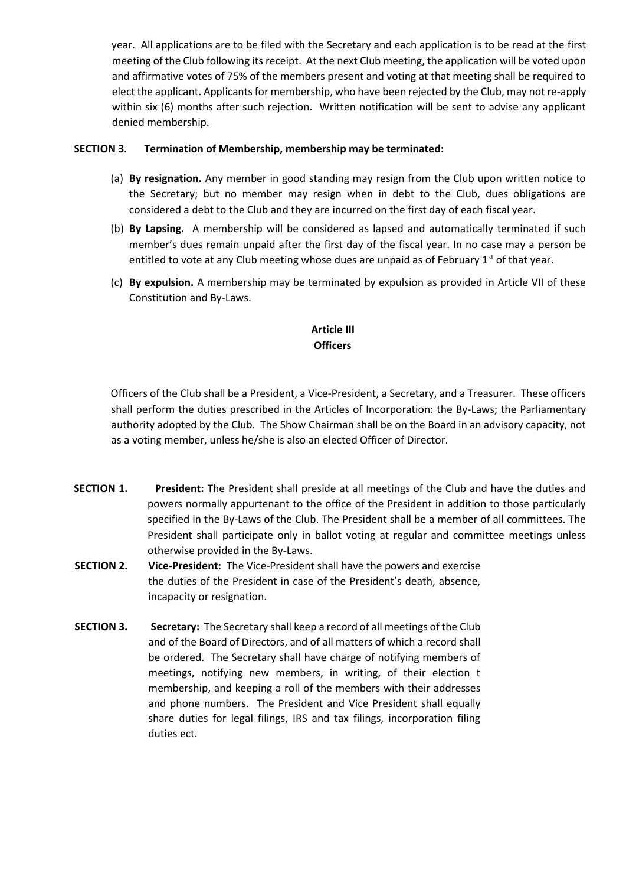year. All applications are to be filed with the Secretary and each application is to be read at the first meeting of the Club following its receipt. At the next Club meeting, the application will be voted upon and affirmative votes of 75% of the members present and voting at that meeting shall be required to elect the applicant. Applicants for membership, who have been rejected by the Club, may not re-apply within six (6) months after such rejection. Written notification will be sent to advise any applicant denied membership.

## **SECTION 3. Termination of Membership, membership may be terminated:**

- (a) **By resignation.** Any member in good standing may resign from the Club upon written notice to the Secretary; but no member may resign when in debt to the Club, dues obligations are considered a debt to the Club and they are incurred on the first day of each fiscal year.
- (b) **By Lapsing.** A membership will be considered as lapsed and automatically terminated if such member's dues remain unpaid after the first day of the fiscal year. In no case may a person be entitled to vote at any Club meeting whose dues are unpaid as of February  $1<sup>st</sup>$  of that year.
- (c) **By expulsion.** A membership may be terminated by expulsion as provided in Article VII of these Constitution and By-Laws.

# **Article III Officers**

Officers of the Club shall be a President, a Vice-President, a Secretary, and a Treasurer. These officers shall perform the duties prescribed in the Articles of Incorporation: the By-Laws; the Parliamentary authority adopted by the Club. The Show Chairman shall be on the Board in an advisory capacity, not as a voting member, unless he/she is also an elected Officer of Director.

- **SECTION 1. President:** The President shall preside at all meetings of the Club and have the duties and powers normally appurtenant to the office of the President in addition to those particularly specified in the By-Laws of the Club. The President shall be a member of all committees. The President shall participate only in ballot voting at regular and committee meetings unless otherwise provided in the By-Laws.
- **SECTION 2. Vice-President:** The Vice-President shall have the powers and exercise the duties of the President in case of the President's death, absence, incapacity or resignation.
- **SECTION 3. Secretary:** The Secretary shall keep a record of all meetings of the Club and of the Board of Directors, and of all matters of which a record shall be ordered. The Secretary shall have charge of notifying members of meetings, notifying new members, in writing, of their election t membership, and keeping a roll of the members with their addresses and phone numbers. The President and Vice President shall equally share duties for legal filings, IRS and tax filings, incorporation filing duties ect.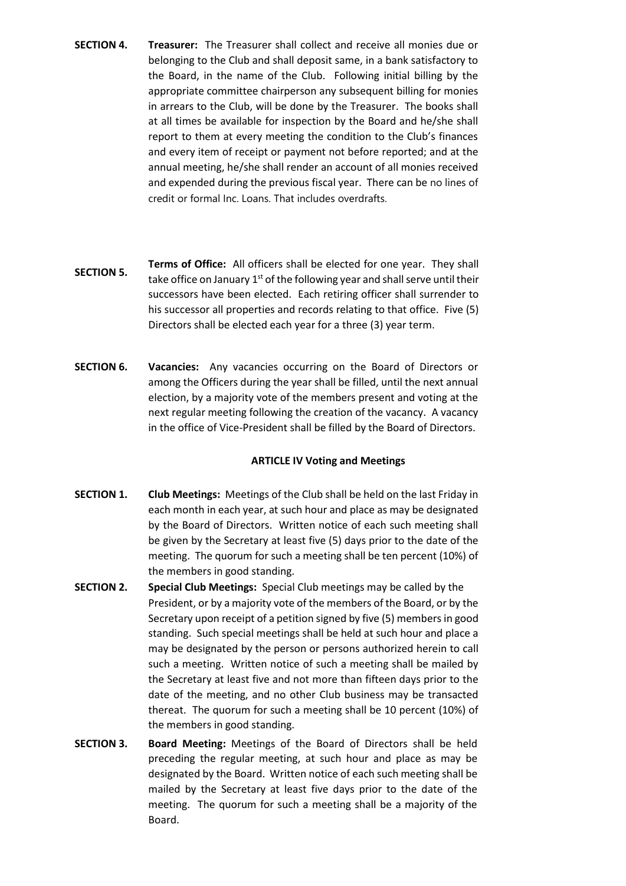- **SECTION 4. Treasurer:** The Treasurer shall collect and receive all monies due or belonging to the Club and shall deposit same, in a bank satisfactory to the Board, in the name of the Club. Following initial billing by the appropriate committee chairperson any subsequent billing for monies in arrears to the Club, will be done by the Treasurer. The books shall at all times be available for inspection by the Board and he/she shall report to them at every meeting the condition to the Club's finances and every item of receipt or payment not before reported; and at the annual meeting, he/she shall render an account of all monies received and expended during the previous fiscal year. There can be no lines of credit or formal Inc. Loans. That includes overdrafts.
- **SECTION 5. Terms of Office:** All officers shall be elected for one year. They shall take office on January  $1<sup>st</sup>$  of the following year and shall serve until their successors have been elected. Each retiring officer shall surrender to his successor all properties and records relating to that office. Five (5) Directors shall be elected each year for a three (3) year term.
- **SECTION 6. Vacancies:** Any vacancies occurring on the Board of Directors or among the Officers during the year shall be filled, until the next annual election, by a majority vote of the members present and voting at the next regular meeting following the creation of the vacancy. A vacancy in the office of Vice-President shall be filled by the Board of Directors.

## **ARTICLE IV Voting and Meetings**

- **SECTION 1. Club Meetings:** Meetings of the Club shall be held on the last Friday in each month in each year, at such hour and place as may be designated by the Board of Directors. Written notice of each such meeting shall be given by the Secretary at least five (5) days prior to the date of the meeting. The quorum for such a meeting shall be ten percent (10%) of the members in good standing.
- **SECTION 2. Special Club Meetings:** Special Club meetings may be called by the President, or by a majority vote of the members of the Board, or by the Secretary upon receipt of a petition signed by five (5) members in good standing. Such special meetings shall be held at such hour and place a may be designated by the person or persons authorized herein to call such a meeting. Written notice of such a meeting shall be mailed by the Secretary at least five and not more than fifteen days prior to the date of the meeting, and no other Club business may be transacted thereat. The quorum for such a meeting shall be 10 percent (10%) of the members in good standing.
- **SECTION 3. Board Meeting:** Meetings of the Board of Directors shall be held preceding the regular meeting, at such hour and place as may be designated by the Board. Written notice of each such meeting shall be mailed by the Secretary at least five days prior to the date of the meeting. The quorum for such a meeting shall be a majority of the Board.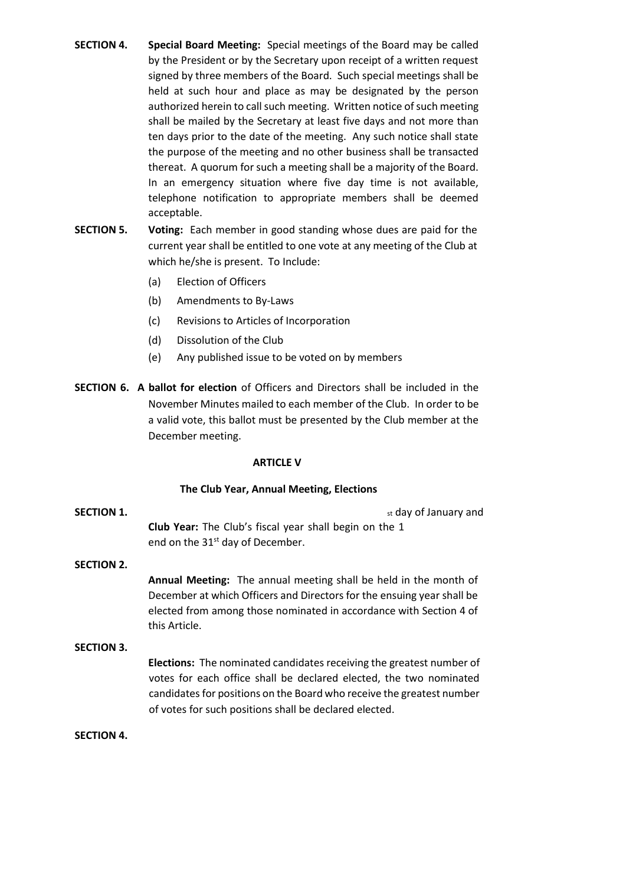- **SECTION 4. Special Board Meeting:** Special meetings of the Board may be called by the President or by the Secretary upon receipt of a written request signed by three members of the Board. Such special meetings shall be held at such hour and place as may be designated by the person authorized herein to call such meeting. Written notice of such meeting shall be mailed by the Secretary at least five days and not more than ten days prior to the date of the meeting. Any such notice shall state the purpose of the meeting and no other business shall be transacted thereat. A quorum for such a meeting shall be a majority of the Board. In an emergency situation where five day time is not available, telephone notification to appropriate members shall be deemed acceptable.
- **SECTION 5. Voting:** Each member in good standing whose dues are paid for the current year shall be entitled to one vote at any meeting of the Club at which he/she is present. To Include:
	- (a) Election of Officers
	- (b) Amendments to By-Laws
	- (c) Revisions to Articles of Incorporation
	- (d) Dissolution of the Club
	- (e) Any published issue to be voted on by members
- **SECTION 6. A ballot for election** of Officers and Directors shall be included in the November Minutes mailed to each member of the Club. In order to be a valid vote, this ballot must be presented by the Club member at the December meeting.

### **ARTICLE V**

### **The Club Year, Annual Meeting, Elections**

**SECTION 1.** SECTION 1. **Club Year:** The Club's fiscal year shall begin on the 1 end on the 31<sup>st</sup> day of December.

## **SECTION 2.**

**Annual Meeting:** The annual meeting shall be held in the month of December at which Officers and Directors for the ensuing year shall be elected from among those nominated in accordance with Section 4 of this Article.

### **SECTION 3.**

**Elections:** The nominated candidates receiving the greatest number of votes for each office shall be declared elected, the two nominated candidates for positions on the Board who receive the greatest number of votes for such positions shall be declared elected.

### **SECTION 4.**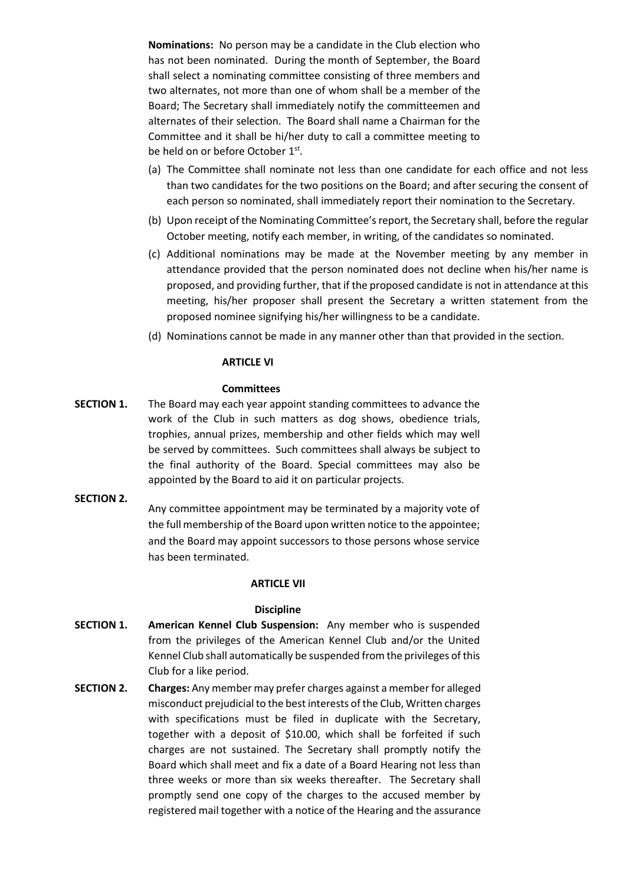**Nominations:** No person may be a candidate in the Club election who has not been nominated. During the month of September, the Board shall select a nominating committee consisting of three members and two alternates, not more than one of whom shall be a member of the Board; The Secretary shall immediately notify the committeemen and alternates of their selection. The Board shall name a Chairman for the Committee and it shall be hi/her duty to call a committee meeting to be held on or before October 1<sup>st</sup>.

- (a) The Committee shall nominate not less than one candidate for each office and not less than two candidates for the two positions on the Board; and after securing the consent of each person so nominated, shall immediately report their nomination to the Secretary.
- (b) Upon receipt of the Nominating Committee's report, the Secretary shall, before the regular October meeting, notify each member, in writing, of the candidates so nominated.
- (c) Additional nominations may be made at the November meeting by any member in attendance provided that the person nominated does not decline when his/her name is proposed, and providing further, that if the proposed candidate is not in attendance at this meeting, his/her proposer shall present the Secretary a written statement from the proposed nominee signifying his/her willingness to be a candidate.
- (d) Nominations cannot be made in any manner other than that provided in the section.

## **ARTICLE VI**

## **Committees**

**SECTION 1.** The Board may each year appoint standing committees to advance the work of the Club in such matters as dog shows, obedience trials, trophies, annual prizes, membership and other fields which may well be served by committees. Such committees shall always be subject to the final authority of the Board. Special committees may also be appointed by the Board to aid it on particular projects.

### **SECTION 2.**

Any committee appointment may be terminated by a majority vote of the full membership of the Board upon written notice to the appointee; and the Board may appoint successors to those persons whose service has been terminated.

## **ARTICLE VII**

## **Discipline**

- **SECTION 1. American Kennel Club Suspension:** Any member who is suspended from the privileges of the American Kennel Club and/or the United Kennel Club shall automatically be suspended from the privileges of this Club for a like period.
- **SECTION 2. Charges:** Any member may prefer charges against a member for alleged misconduct prejudicial to the best interests of the Club, Written charges with specifications must be filed in duplicate with the Secretary, together with a deposit of \$10.00, which shall be forfeited if such charges are not sustained. The Secretary shall promptly notify the Board which shall meet and fix a date of a Board Hearing not less than three weeks or more than six weeks thereafter. The Secretary shall promptly send one copy of the charges to the accused member by registered mail together with a notice of the Hearing and the assurance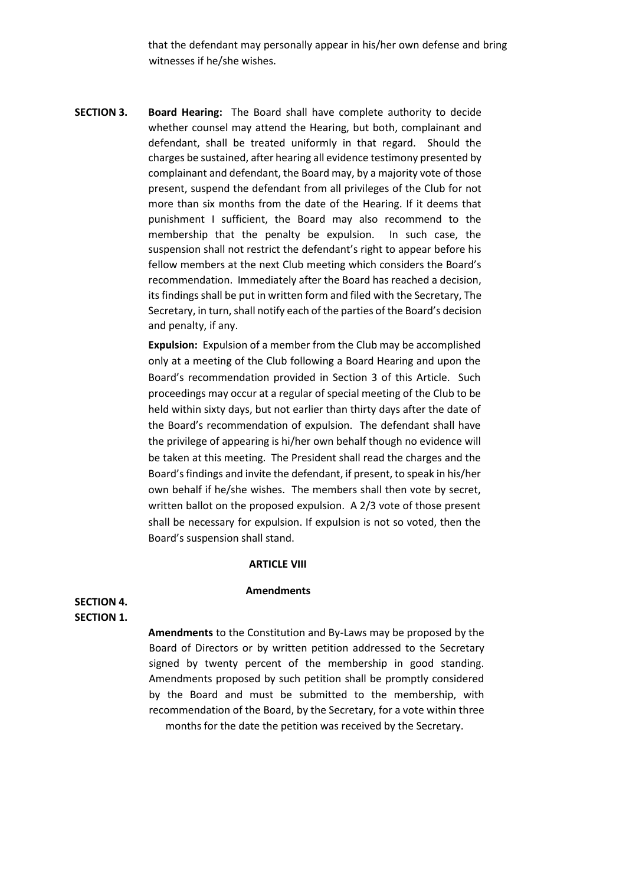that the defendant may personally appear in his/her own defense and bring witnesses if he/she wishes.

**SECTION 3. Board Hearing:** The Board shall have complete authority to decide whether counsel may attend the Hearing, but both, complainant and defendant, shall be treated uniformly in that regard. Should the charges be sustained, after hearing all evidence testimony presented by complainant and defendant, the Board may, by a majority vote of those present, suspend the defendant from all privileges of the Club for not more than six months from the date of the Hearing. If it deems that punishment I sufficient, the Board may also recommend to the membership that the penalty be expulsion. In such case, the suspension shall not restrict the defendant's right to appear before his fellow members at the next Club meeting which considers the Board's recommendation. Immediately after the Board has reached a decision, its findings shall be put in written form and filed with the Secretary, The Secretary, in turn, shall notify each of the parties of the Board's decision and penalty, if any.

> **Expulsion:** Expulsion of a member from the Club may be accomplished only at a meeting of the Club following a Board Hearing and upon the Board's recommendation provided in Section 3 of this Article. Such proceedings may occur at a regular of special meeting of the Club to be held within sixty days, but not earlier than thirty days after the date of the Board's recommendation of expulsion. The defendant shall have the privilege of appearing is hi/her own behalf though no evidence will be taken at this meeting. The President shall read the charges and the Board's findings and invite the defendant, if present, to speak in his/her own behalf if he/she wishes. The members shall then vote by secret, written ballot on the proposed expulsion. A 2/3 vote of those present shall be necessary for expulsion. If expulsion is not so voted, then the Board's suspension shall stand.

#### **ARTICLE VIII**

#### **Amendments**

## **SECTION 4. SECTION 1.**

**Amendments** to the Constitution and By-Laws may be proposed by the Board of Directors or by written petition addressed to the Secretary signed by twenty percent of the membership in good standing. Amendments proposed by such petition shall be promptly considered by the Board and must be submitted to the membership, with recommendation of the Board, by the Secretary, for a vote within three months for the date the petition was received by the Secretary.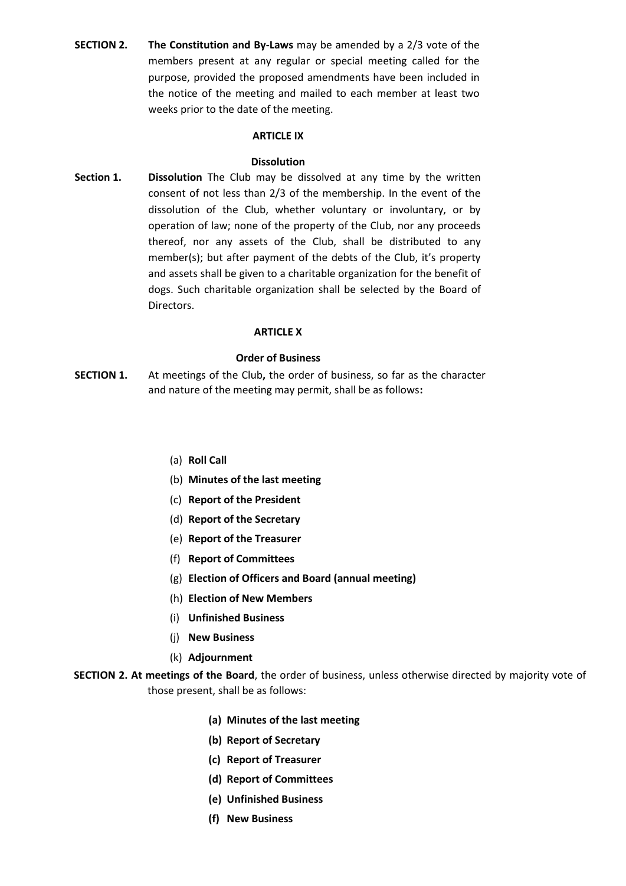**SECTION 2. The Constitution and By-Laws** may be amended by a 2/3 vote of the members present at any regular or special meeting called for the purpose, provided the proposed amendments have been included in the notice of the meeting and mailed to each member at least two weeks prior to the date of the meeting.

### **ARTICLE IX**

### **Dissolution**

**Section 1. Dissolution** The Club may be dissolved at any time by the written consent of not less than 2/3 of the membership. In the event of the dissolution of the Club, whether voluntary or involuntary, or by operation of law; none of the property of the Club, nor any proceeds thereof, nor any assets of the Club, shall be distributed to any member(s); but after payment of the debts of the Club, it's property and assets shall be given to a charitable organization for the benefit of dogs. Such charitable organization shall be selected by the Board of Directors.

# **ARTICLE X**

### **Order of Business**

- **SECTION 1.** At meetings of the Club**,** the order of business, so far as the character and nature of the meeting may permit, shall be as follows**:** 
	- (a) **Roll Call**
	- (b) **Minutes of the last meeting**
	- (c) **Report of the President**
	- (d) **Report of the Secretary**
	- (e) **Report of the Treasurer**
	- (f) **Report of Committees**
	- (g) **Election of Officers and Board (annual meeting)**
	- (h) **Election of New Members**
	- (i) **Unfinished Business**
	- (j) **New Business**
	- (k) **Adjournment**
- **SECTION 2. At meetings of the Board**, the order of business, unless otherwise directed by majority vote of those present, shall be as follows:
	- **(a) Minutes of the last meeting**
	- **(b) Report of Secretary**
	- **(c) Report of Treasurer**
	- **(d) Report of Committees**
	- **(e) Unfinished Business**
	- **(f) New Business**